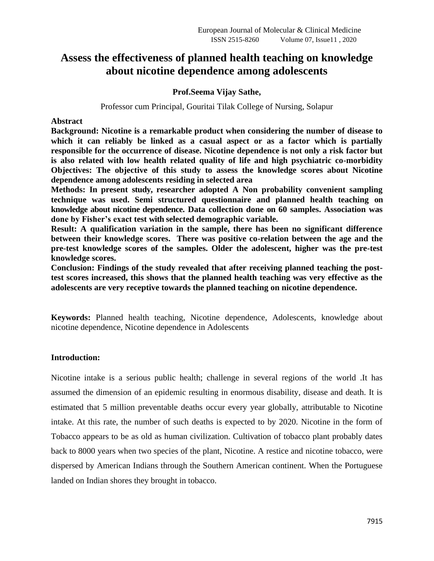# **Assess the effectiveness of planned health teaching on knowledge about nicotine dependence among adolescents**

## **Prof.Seema Vijay Sathe,**

### Professor cum Principal, Gouritai Tilak College of Nursing, Solapur

**Abstract** 

**Background: Nicotine is a remarkable product when considering the number of disease to which it can reliably be linked as a casual aspect or as a factor which is partially responsible for the occurrence of disease. Nicotine dependence is not only a risk factor but is also related with low health related quality of life and high psychiatric co-morbidity Objectives: The objective of this study to assess the knowledge scores about Nicotine dependence among adolescents residing in selected area**

**Methods: In present study, researcher adopted A Non probability convenient sampling technique was used. Semi structured questionnaire and planned health teaching on knowledge about nicotine dependence. Data collection done on 60 samples. Association was done by Fisher's exact test with selected demographic variable.** 

**Result: A qualification variation in the sample, there has been no significant difference between their knowledge scores. There was positive co-relation between the age and the pre-test knowledge scores of the samples. Older the adolescent, higher was the pre-test knowledge scores.** 

**Conclusion: Findings of the study revealed that after receiving planned teaching the posttest scores increased, this shows that the planned health teaching was very effective as the adolescents are very receptive towards the planned teaching on nicotine dependence.** 

**Keywords:** Planned health teaching, Nicotine dependence, Adolescents, knowledge about nicotine dependence, Nicotine dependence in Adolescents

### **Introduction:**

Nicotine intake is a serious public health; challenge in several regions of the world .It has assumed the dimension of an epidemic resulting in enormous disability, disease and death. It is estimated that 5 million preventable deaths occur every year globally, attributable to Nicotine intake. At this rate, the number of such deaths is expected to by 2020. Nicotine in the form of Tobacco appears to be as old as human civilization. Cultivation of tobacco plant probably dates back to 8000 years when two species of the plant, Nicotine. A restice and nicotine tobacco, were dispersed by American Indians through the Southern American continent. When the Portuguese landed on Indian shores they brought in tobacco.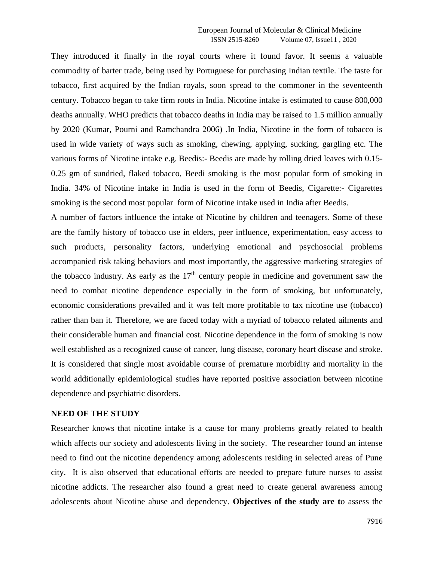They introduced it finally in the royal courts where it found favor. It seems a valuable commodity of barter trade, being used by Portuguese for purchasing Indian textile. The taste for tobacco, first acquired by the Indian royals, soon spread to the commoner in the seventeenth century. Tobacco began to take firm roots in India. Nicotine intake is estimated to cause 800,000 deaths annually. WHO predicts that tobacco deaths in India may be raised to 1.5 million annually by 2020 (Kumar, Pourni and Ramchandra 2006) .In India, Nicotine in the form of tobacco is used in wide variety of ways such as smoking, chewing, applying, sucking, gargling etc. The various forms of Nicotine intake e.g. Beedis:- Beedis are made by rolling dried leaves with 0.15- 0.25 gm of sundried, flaked tobacco, Beedi smoking is the most popular form of smoking in India. 34% of Nicotine intake in India is used in the form of Beedis, Cigarette:- Cigarettes smoking is the second most popular form of Nicotine intake used in India after Beedis.

A number of factors influence the intake of Nicotine by children and teenagers. Some of these are the family history of tobacco use in elders, peer influence, experimentation, easy access to such products, personality factors, underlying emotional and psychosocial problems accompanied risk taking behaviors and most importantly, the aggressive marketing strategies of the tobacco industry. As early as the  $17<sup>th</sup>$  century people in medicine and government saw the need to combat nicotine dependence especially in the form of smoking, but unfortunately, economic considerations prevailed and it was felt more profitable to tax nicotine use (tobacco) rather than ban it. Therefore, we are faced today with a myriad of tobacco related ailments and their considerable human and financial cost. Nicotine dependence in the form of smoking is now well established as a recognized cause of cancer, lung disease, coronary heart disease and stroke. It is considered that single most avoidable course of premature morbidity and mortality in the world additionally epidemiological studies have reported positive association between nicotine dependence and psychiatric disorders.

## **NEED OF THE STUDY**

Researcher knows that nicotine intake is a cause for many problems greatly related to health which affects our society and adolescents living in the society. The researcher found an intense need to find out the nicotine dependency among adolescents residing in selected areas of Pune city. It is also observed that educational efforts are needed to prepare future nurses to assist nicotine addicts. The researcher also found a great need to create general awareness among adolescents about Nicotine abuse and dependency. **Objectives of the study are t**o assess the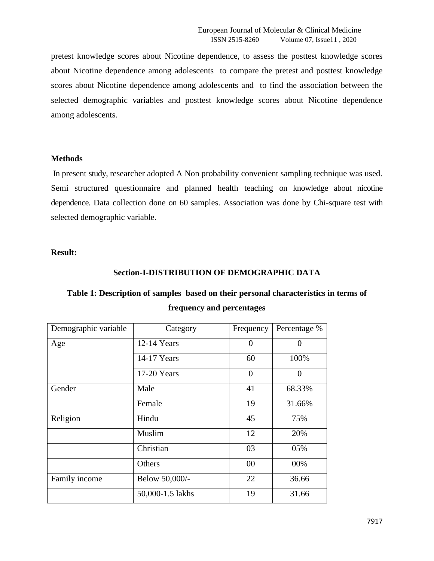pretest knowledge scores about Nicotine dependence, to assess the posttest knowledge scores about Nicotine dependence among adolescents to compare the pretest and posttest knowledge scores about Nicotine dependence among adolescents and to find the association between the selected demographic variables and posttest knowledge scores about Nicotine dependence among adolescents.

## **Methods**

In present study, researcher adopted A Non probability convenient sampling technique was used. Semi structured questionnaire and planned health teaching on knowledge about nicotine dependence. Data collection done on 60 samples. Association was done by Chi-square test with selected demographic variable.

## **Result:**

## **Section-I-DISTRIBUTION OF DEMOGRAPHIC DATA**

# **Table 1: Description of samples based on their personal characteristics in terms of frequency and percentages**

| Demographic variable | Category         | Frequency      | Percentage %      |  |
|----------------------|------------------|----------------|-------------------|--|
| Age                  | $12-14$ Years    | $\theta$       | $\mathbf{\Omega}$ |  |
|                      | 14-17 Years      | 60             | 100%              |  |
|                      | $17-20$ Years    | $\overline{0}$ | $\Omega$          |  |
| Gender               | Male             | 41             | 68.33%            |  |
|                      | Female           | 19             | 31.66%            |  |
| Religion             | Hindu            | 45             | 75%               |  |
|                      | Muslim           | 12             | 20%               |  |
|                      | Christian        | 03             | 05%               |  |
|                      | Others           | 00             | 00%               |  |
| Family income        | Below 50,000/-   | 22             | 36.66             |  |
|                      | 50,000-1.5 lakhs | 19             | 31.66             |  |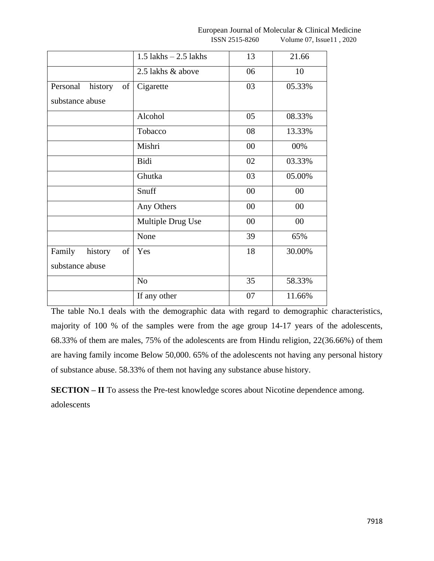|                                            | 1.5 lakhs $-2.5$ lakhs | 13     | 21.66  |
|--------------------------------------------|------------------------|--------|--------|
|                                            | 2.5 lakhs & above      | 06     | 10     |
| Personal<br>history<br>of                  | Cigarette              | 03     | 05.33% |
| substance abuse                            |                        |        |        |
|                                            | Alcohol                | 05     | 08.33% |
|                                            | Tobacco                | 08     | 13.33% |
|                                            | Mishri                 | 00     | 00%    |
|                                            | Bidi                   | 02     | 03.33% |
|                                            | Ghutka                 | 03     | 05.00% |
|                                            | Snuff                  | 00     | 00     |
|                                            | Any Others             | $00\,$ | 00     |
|                                            | Multiple Drug Use      | $00\,$ | 00     |
|                                            | None                   | 39     | 65%    |
| Family<br>of<br>history<br>substance abuse | Yes                    | 18     | 30.00% |
|                                            | N <sub>o</sub>         | 35     | 58.33% |
|                                            | If any other           | 07     | 11.66% |

The table No.1 deals with the demographic data with regard to demographic characteristics, majority of 100 % of the samples were from the age group 14-17 years of the adolescents, 68.33% of them are males, 75% of the adolescents are from Hindu religion, 22(36.66%) of them are having family income Below 50,000. 65% of the adolescents not having any personal history of substance abuse. 58.33% of them not having any substance abuse history.

**SECTION – II** To assess the Pre-test knowledge scores about Nicotine dependence among. adolescents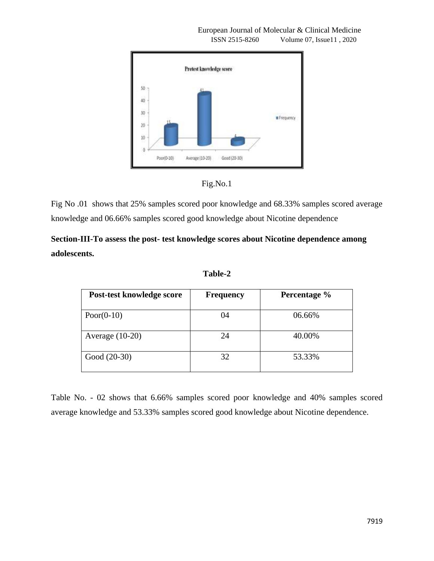

European Journal of Molecular & Clinical Medicine ISSN 2515-8260 Volume 07, Issue11 , 2020



Fig No .01 shows that 25% samples scored poor knowledge and 68.33% samples scored average knowledge and 06.66% samples scored good knowledge about Nicotine dependence

**Section-III-To assess the post- test knowledge scores about Nicotine dependence among adolescents.**

**Table-2**

| Post-test knowledge score | <b>Frequency</b> | Percentage % |
|---------------------------|------------------|--------------|
| Poor( $0-10$ )            | 04               | 06.66%       |
| Average $(10-20)$         | 24               | 40.00%       |
| Good (20-30)              | 32               | 53.33%       |

Table No. - 02 shows that 6.66% samples scored poor knowledge and 40% samples scored average knowledge and 53.33% samples scored good knowledge about Nicotine dependence.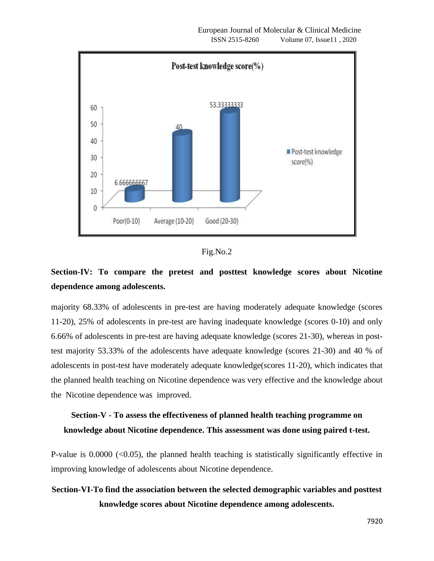



# **Section-IV: To compare the pretest and posttest knowledge scores about Nicotine dependence among adolescents.**

majority 68.33% of adolescents in pre-test are having moderately adequate knowledge (scores 11-20), 25% of adolescents in pre-test are having inadequate knowledge (scores 0-10) and only 6.66% of adolescents in pre-test are having adequate knowledge (scores 21-30), whereas in posttest majority 53.33% of the adolescents have adequate knowledge (scores 21-30) and 40 % of adolescents in post-test have moderately adequate knowledge(scores 11-20), which indicates that the planned health teaching on Nicotine dependence was very effective and the knowledge about the Nicotine dependence was improved.

# **Section-V - To assess the effectiveness of planned health teaching programme on knowledge about Nicotine dependence. This assessment was done using paired t-test.**

P-value is  $0.0000$  ( $0.05$ ), the planned health teaching is statistically significantly effective in improving knowledge of adolescents about Nicotine dependence.

## **Section-VI-To find the association between the selected demographic variables and posttest knowledge scores about Nicotine dependence among adolescents.**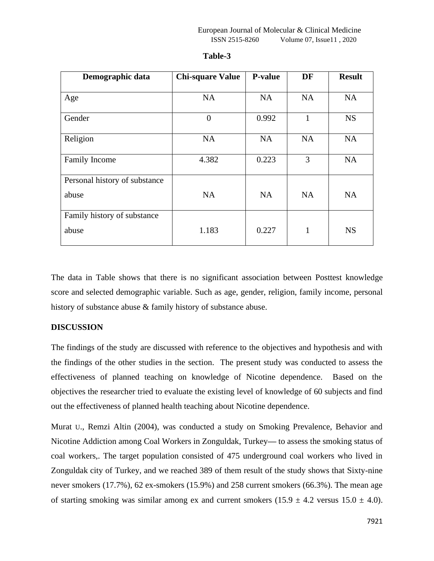| Demographic data              | <b>Chi-square Value</b> | <b>P-value</b> | DF           | <b>Result</b> |
|-------------------------------|-------------------------|----------------|--------------|---------------|
| Age                           | <b>NA</b>               | <b>NA</b>      | <b>NA</b>    | <b>NA</b>     |
| Gender                        | $\Omega$                | 0.992          | $\mathbf{1}$ | <b>NS</b>     |
| Religion                      | NA                      | NA             | NA           | <b>NA</b>     |
| <b>Family Income</b>          | 4.382                   | 0.223          | 3            | <b>NA</b>     |
| Personal history of substance |                         |                |              |               |
| abuse                         | <b>NA</b>               | <b>NA</b>      | <b>NA</b>    | <b>NA</b>     |
| Family history of substance   |                         |                |              |               |
| abuse                         | 1.183                   | 0.227          | 1            | <b>NS</b>     |

## **Table-3**

The data in Table shows that there is no significant association between Posttest knowledge score and selected demographic variable. Such as age, gender, religion, family income, personal history of substance abuse & family history of substance abuse.

## **DISCUSSION**

The findings of the study are discussed with reference to the objectives and hypothesis and with the findings of the other studies in the section. The present study was conducted to assess the effectiveness of planned teaching on knowledge of Nicotine dependence. Based on the objectives the researcher tried to evaluate the existing level of knowledge of 60 subjects and find out the effectiveness of planned health teaching about Nicotine dependence.

Murat U., Remzi Altin (2004), was conducted a study on Smoking Prevalence, Behavior and Nicotine Addiction among Coal Workers in Zonguldak, Turkey**—** to assess the smoking status of coal workers,. The target population consisted of 475 underground coal workers who lived in Zonguldak city of Turkey, and we reached 389 of them result of the study shows that Sixty-nine never smokers (17.7%), 62 ex-smokers (15.9%) and 258 current smokers (66.3%). The mean age of starting smoking was similar among ex and current smokers  $(15.9 \pm 4.2 \text{ versus } 15.0 \pm 4.0)$ .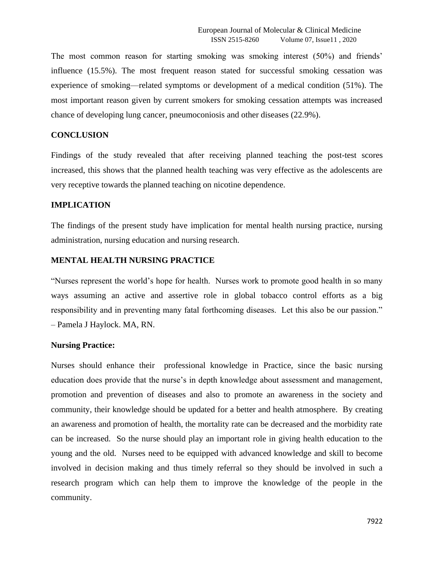The most common reason for starting smoking was smoking interest (50%) and friends' influence (15.5%). The most frequent reason stated for successful smoking cessation was experience of smoking—related symptoms or development of a medical condition (51%). The most important reason given by current smokers for smoking cessation attempts was increased chance of developing lung cancer, pneumoconiosis and other diseases (22.9%).

#### **CONCLUSION**

Findings of the study revealed that after receiving planned teaching the post-test scores increased, this shows that the planned health teaching was very effective as the adolescents are very receptive towards the planned teaching on nicotine dependence.

#### **IMPLICATION**

The findings of the present study have implication for mental health nursing practice, nursing administration, nursing education and nursing research.

#### **MENTAL HEALTH NURSING PRACTICE**

"Nurses represent the world's hope for health. Nurses work to promote good health in so many ways assuming an active and assertive role in global tobacco control efforts as a big responsibility and in preventing many fatal forthcoming diseases. Let this also be our passion." – Pamela J Haylock. MA, RN.

#### **Nursing Practice:**

Nurses should enhance their professional knowledge in Practice, since the basic nursing education does provide that the nurse's in depth knowledge about assessment and management, promotion and prevention of diseases and also to promote an awareness in the society and community, their knowledge should be updated for a better and health atmosphere. By creating an awareness and promotion of health, the mortality rate can be decreased and the morbidity rate can be increased. So the nurse should play an important role in giving health education to the young and the old. Nurses need to be equipped with advanced knowledge and skill to become involved in decision making and thus timely referral so they should be involved in such a research program which can help them to improve the knowledge of the people in the community.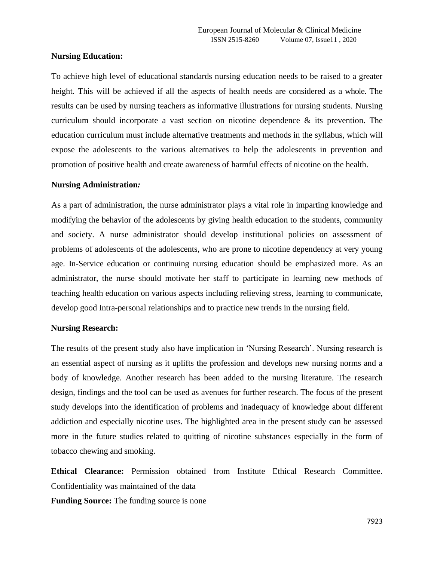## **Nursing Education:**

To achieve high level of educational standards nursing education needs to be raised to a greater height. This will be achieved if all the aspects of health needs are considered as a whole. The results can be used by nursing teachers as informative illustrations for nursing students. Nursing curriculum should incorporate a vast section on nicotine dependence & its prevention. The education curriculum must include alternative treatments and methods in the syllabus, which will expose the adolescents to the various alternatives to help the adolescents in prevention and promotion of positive health and create awareness of harmful effects of nicotine on the health.

### **Nursing Administration***:*

As a part of administration, the nurse administrator plays a vital role in imparting knowledge and modifying the behavior of the adolescents by giving health education to the students, community and society. A nurse administrator should develop institutional policies on assessment of problems of adolescents of the adolescents, who are prone to nicotine dependency at very young age. In-Service education or continuing nursing education should be emphasized more. As an administrator, the nurse should motivate her staff to participate in learning new methods of teaching health education on various aspects including relieving stress, learning to communicate, develop good Intra-personal relationships and to practice new trends in the nursing field.

## **Nursing Research:**

The results of the present study also have implication in 'Nursing Research'. Nursing research is an essential aspect of nursing as it uplifts the profession and develops new nursing norms and a body of knowledge. Another research has been added to the nursing literature. The research design, findings and the tool can be used as avenues for further research. The focus of the present study develops into the identification of problems and inadequacy of knowledge about different addiction and especially nicotine uses. The highlighted area in the present study can be assessed more in the future studies related to quitting of nicotine substances especially in the form of tobacco chewing and smoking.

**Ethical Clearance:** Permission obtained from Institute Ethical Research Committee. Confidentiality was maintained of the data

**Funding Source:** The funding source is none